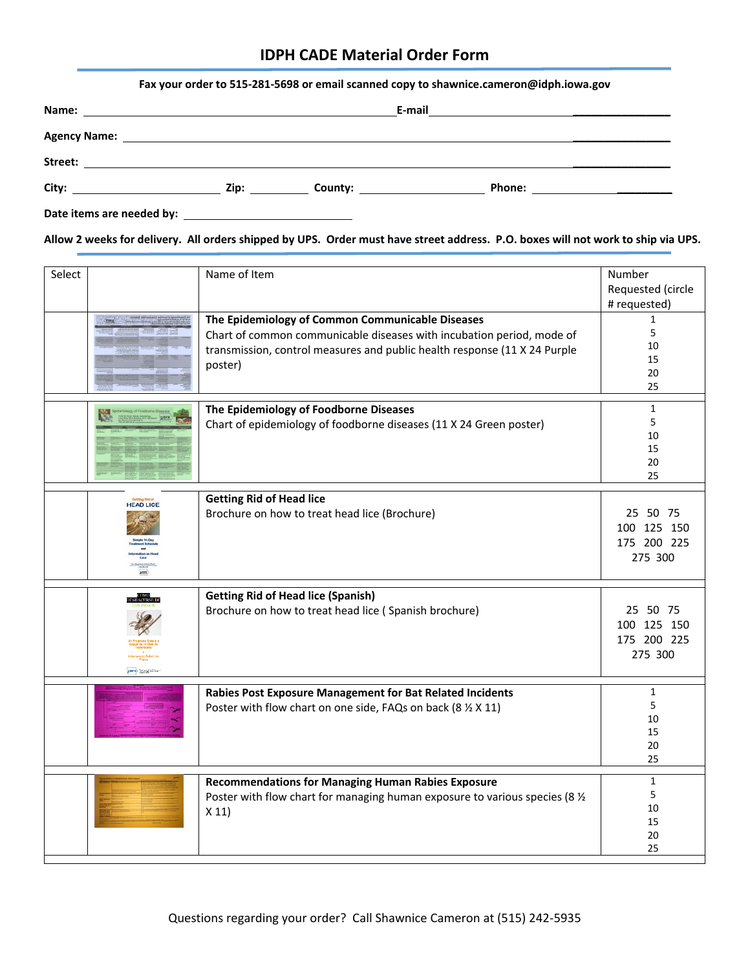| Fax your order to 515-281-5698 or email scanned copy to shawnice.cameron@idph.iowa.gov                                                                                                                                                                                  |  |  |  |  |
|-------------------------------------------------------------------------------------------------------------------------------------------------------------------------------------------------------------------------------------------------------------------------|--|--|--|--|
|                                                                                                                                                                                                                                                                         |  |  |  |  |
|                                                                                                                                                                                                                                                                         |  |  |  |  |
|                                                                                                                                                                                                                                                                         |  |  |  |  |
| Phone: <u>__________________</u><br><b>County:</b> the country of the country of the country of the country of the country of the country of the country of the country of the country of the country of the country of the country of the country of the country of th |  |  |  |  |

**Date items are needed by:** 

**Allow 2 weeks for delivery. All orders shipped by UPS. Order must have street address. P.O. boxes will not work to ship via UPS.** 

| Select |                        | Name of Item                                                                                                                                                                                                      | Number<br>Requested (circle<br># requested)       |
|--------|------------------------|-------------------------------------------------------------------------------------------------------------------------------------------------------------------------------------------------------------------|---------------------------------------------------|
|        |                        | The Epidemiology of Common Communicable Diseases<br>Chart of common communicable diseases with incubation period, mode of<br>transmission, control measures and public health response (11 X 24 Purple<br>poster) | 1<br>5<br>10<br>15<br>20<br>25                    |
|        |                        | The Epidemiology of Foodborne Diseases<br>Chart of epidemiology of foodborne diseases (11 X 24 Green poster)                                                                                                      | $\mathbf{1}$<br>5<br>10<br>15<br>20<br>25         |
|        | <b>HEAD LICE</b>       | <b>Getting Rid of Head lice</b><br>Brochure on how to treat head lice (Brochure)                                                                                                                                  | 25 50 75<br>100 125 150<br>175 200 225<br>275 300 |
|        | <b>ADAM</b> STREET CAR | <b>Getting Rid of Head lice (Spanish)</b><br>Brochure on how to treat head lice (Spanish brochure)                                                                                                                | 25 50 75<br>100 125 150<br>175 200 225<br>275 300 |
|        |                        | Rabies Post Exposure Management for Bat Related Incidents<br>Poster with flow chart on one side, FAQs on back (8 % X 11)                                                                                          | $\mathbf{1}$<br>5<br>10<br>15<br>20<br>25         |
|        |                        | <b>Recommendations for Managing Human Rabies Exposure</b><br>Poster with flow chart for managing human exposure to various species (8 1/2<br>X 11                                                                 | $\mathbf{1}$<br>5<br>10<br>15<br>20<br>25         |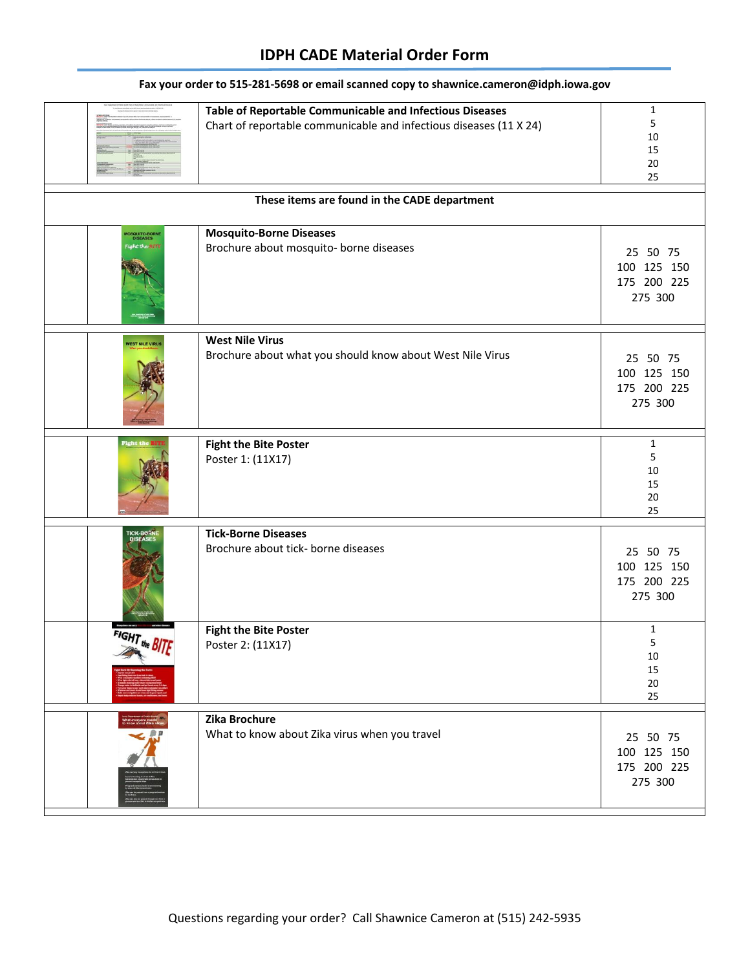| MOSQUITO-BORN<br>DISEASES   | Table of Reportable Communicable and Infectious Diseases<br>Chart of reportable communicable and infectious diseases (11 X 24)<br>These items are found in the CADE department<br><b>Mosquito-Borne Diseases</b> | 1<br>5<br>10<br>15<br>20<br>25                    |
|-----------------------------|------------------------------------------------------------------------------------------------------------------------------------------------------------------------------------------------------------------|---------------------------------------------------|
| <i>laht</i> the <b>BIFF</b> | Brochure about mosquito- borne diseases                                                                                                                                                                          | 25 50 75<br>100 125 150<br>175 200 225<br>275 300 |
| <b>VEST NILE VIRU</b>       | <b>West Nile Virus</b><br>Brochure about what you should know about West Nile Virus                                                                                                                              | 25 50 75<br>100 125 150<br>175 200 225<br>275 300 |
| <b>Fight th</b>             | <b>Fight the Bite Poster</b><br>Poster 1: (11X17)                                                                                                                                                                | $\mathbf{1}$<br>5<br>10<br>15<br>20<br>25         |
|                             | <b>Tick-Borne Diseases</b><br>Brochure about tick- borne diseases                                                                                                                                                | 25 50 75<br>100 125 150<br>175 200 225<br>275 300 |
| FIGHT the BITF              | <b>Fight the Bite Poster</b><br>Poster 2: (11X17)                                                                                                                                                                | 1<br>5<br>10<br>15<br>20<br>25                    |
|                             | Zika Brochure<br>What to know about Zika virus when you travel                                                                                                                                                   | 25 50 75<br>100 125 150<br>175 200 225<br>275 300 |

#### **Fax your order to 515-281-5698 or email scanned copy to shawnice.cameron@idph.iowa.gov**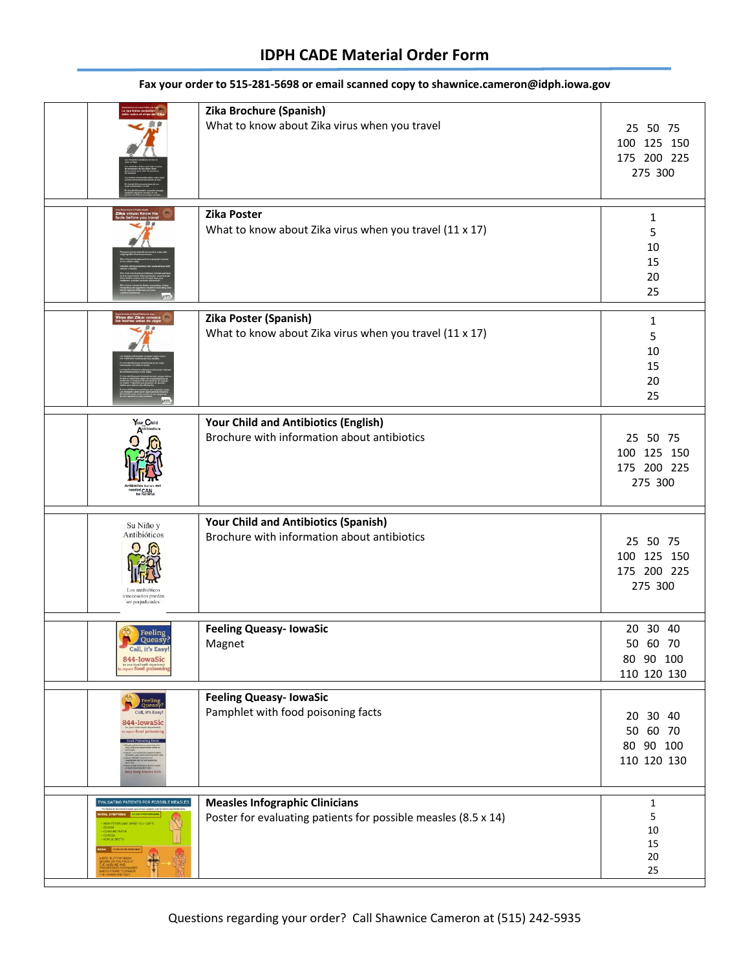|                                                                              | Zika Brochure (Spanish)<br>What to know about Zika virus when you travel                                | 25 50 75<br>100 125 150<br>175 200 225<br>275 300 |
|------------------------------------------------------------------------------|---------------------------------------------------------------------------------------------------------|---------------------------------------------------|
|                                                                              | Zika Poster<br>What to know about Zika virus when you travel (11 x 17)                                  | 1<br>5<br>10<br>15<br>20<br>25                    |
|                                                                              | Zika Poster (Spanish)<br>What to know about Zika virus when you travel (11 x 17)                        | 1<br>5<br>10<br>15<br>20<br>25                    |
| Your Child                                                                   | Your Child and Antibiotics (English)<br>Brochure with information about antibiotics                     | 25 50 75<br>100 125 150<br>175 200 225<br>275 300 |
| Su Niño y<br>Antibióticos<br>innecesarios pueden<br>ser perjudiciales.       | Your Child and Antibiotics (Spanish)<br>Brochure with information about antibiotics                     | 25 50 75<br>100 125 150<br>175 200 225<br>275 300 |
| Feeling<br>Queasy?<br>Call, it's easy<br>844-IowaSic<br>eport food poisoning | <b>Feeling Queasy- IowaSic</b><br>Magnet                                                                | 20 30 40<br>50 60 70<br>80 90 100<br>110 120 130  |
| Feeling<br>Queasy<br>Call, it's Easy!<br>844-IowaSic<br>sport food poise     | <b>Feeling Queasy- IowaSic</b><br>Pamphlet with food poisoning facts                                    | 20 30 40<br>50 60 70<br>80 90 100<br>110 120 130  |
| <b>EVALUATING PATIENTS FOR POSSIBLE MEASLES</b><br>CORYZA<br>KOPLIK SPOTS    | <b>Measles Infographic Clinicians</b><br>Poster for evaluating patients for possible measles (8.5 x 14) | $\mathbf{1}$<br>5<br>10<br>15<br>20<br>25         |

#### **Fax your order to 515-281-5698 or email scanned copy to shawnice.cameron@idph.iowa.gov**